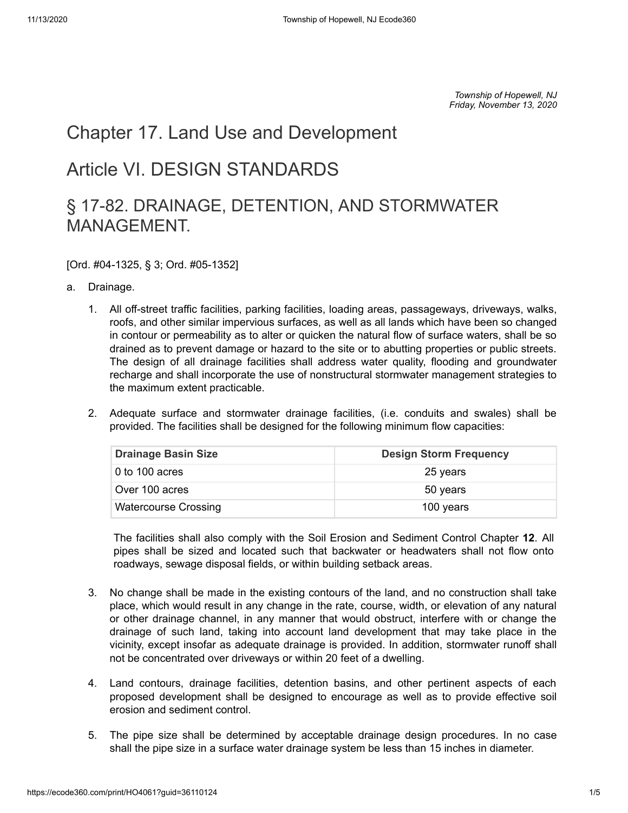*Township of Hopewell, NJ Friday, November 13, 2020*

## <span id="page-0-0"></span>[Chapter 17. Land Use and Development](#page-0-0)

## <span id="page-0-1"></span>[Article VI. DESIGN STANDARDS](#page-0-1)

## <span id="page-0-2"></span>[§ 17-82. DRAINAGE, DETENTION, AND STORMWATER](#page-0-2) MANAGEMENT.

[Ord. #04-1325, § 3; Ord. #05-1352]

- [a.](https://ecode360.com/print/36110125#36110125)  Drainage.
	- [1.](https://ecode360.com/print/36110126#36110126)  All off-street traffic facilities, parking facilities, loading areas, passageways, driveways, walks, roofs, and other similar impervious surfaces, as well as all lands which have been so changed in contour or permeability as to alter or quicken the natural flow of surface waters, shall be so drained as to prevent damage or hazard to the site or to abutting properties or public streets. The design of all drainage facilities shall address water quality, flooding and groundwater recharge and shall incorporate the use of nonstructural stormwater management strategies to the maximum extent practicable.
	- [2.](https://ecode360.com/print/36110127#36110127)  Adequate surface and stormwater drainage facilities, (i.e. conduits and swales) shall be provided. The facilities shall be designed for the following minimum flow capacities:

| <b>Drainage Basin Size</b>  | <b>Design Storm Frequency</b> |
|-----------------------------|-------------------------------|
| 0 to 100 acres              | 25 years                      |
| Over 100 acres              | 50 years                      |
| <b>Watercourse Crossing</b> | 100 years                     |

The facilities shall also comply with the Soil Erosion and Sediment Control Chapter **[12](https://ecode360.com/print/36105421#36105421)**. All pipes shall be sized and located such that backwater or headwaters shall not flow onto roadways, sewage disposal fields, or within building setback areas.

- [3.](https://ecode360.com/print/36110128#36110128)  No change shall be made in the existing contours of the land, and no construction shall take place, which would result in any change in the rate, course, width, or elevation of any natural or other drainage channel, in any manner that would obstruct, interfere with or change the drainage of such land, taking into account land development that may take place in the vicinity, except insofar as adequate drainage is provided. In addition, stormwater runoff shall not be concentrated over driveways or within 20 feet of a dwelling.
- [4.](https://ecode360.com/print/36110129#36110129)  Land contours, drainage facilities, detention basins, and other pertinent aspects of each proposed development shall be designed to encourage as well as to provide effective soil erosion and sediment control.
- [5.](https://ecode360.com/print/36110130#36110130)  The pipe size shall be determined by acceptable drainage design procedures. In no case shall the pipe size in a surface water drainage system be less than 15 inches in diameter.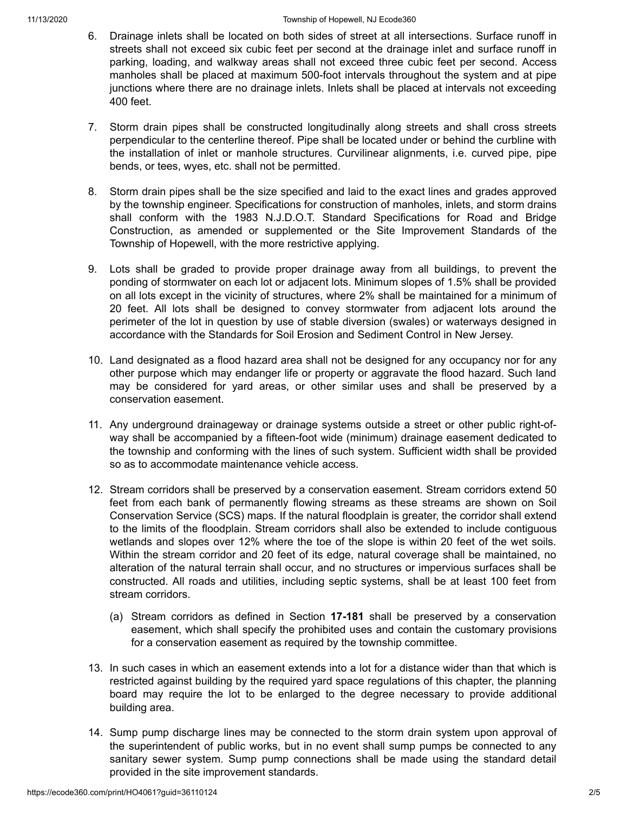- [6.](https://ecode360.com/print/36110131#36110131)  Drainage inlets shall be located on both sides of street at all intersections. Surface runoff in streets shall not exceed six cubic feet per second at the drainage inlet and surface runoff in parking, loading, and walkway areas shall not exceed three cubic feet per second. Access manholes shall be placed at maximum 500-foot intervals throughout the system and at pipe junctions where there are no drainage inlets. Inlets shall be placed at intervals not exceeding 400 feet.
- [7.](https://ecode360.com/print/36110132#36110132)  Storm drain pipes shall be constructed longitudinally along streets and shall cross streets perpendicular to the centerline thereof. Pipe shall be located under or behind the curbline with the installation of inlet or manhole structures. Curvilinear alignments, i.e. curved pipe, pipe bends, or tees, wyes, etc. shall not be permitted.
- [8.](https://ecode360.com/print/36110133#36110133)  Storm drain pipes shall be the size specified and laid to the exact lines and grades approved by the township engineer. Specifications for construction of manholes, inlets, and storm drains shall conform with the 1983 N.J.D.O.T. Standard Specifications for Road and Bridge Construction, as amended or supplemented or the Site Improvement Standards of the Township of Hopewell, with the more restrictive applying.
- [9.](https://ecode360.com/print/36110134#36110134)  Lots shall be graded to provide proper drainage away from all buildings, to prevent the ponding of stormwater on each lot or adjacent lots. Minimum slopes of 1.5% shall be provided on all lots except in the vicinity of structures, where 2% shall be maintained for a minimum of 20 feet. All lots shall be designed to convey stormwater from adjacent lots around the perimeter of the lot in question by use of stable diversion (swales) or waterways designed in accordance with the Standards for Soil Erosion and Sediment Control in New Jersey.
- [10.](https://ecode360.com/print/36110135#36110135)  Land designated as a flood hazard area shall not be designed for any occupancy nor for any other purpose which may endanger life or property or aggravate the flood hazard. Such land may be considered for yard areas, or other similar uses and shall be preserved by a conservation easement.
- [11.](https://ecode360.com/print/36110136#36110136)  Any underground drainageway or drainage systems outside a street or other public right-ofway shall be accompanied by a fifteen-foot wide (minimum) drainage easement dedicated to the township and conforming with the lines of such system. Sufficient width shall be provided so as to accommodate maintenance vehicle access.
- [12.](https://ecode360.com/print/36110137#36110137)  Stream corridors shall be preserved by a conservation easement. Stream corridors extend 50 feet from each bank of permanently flowing streams as these streams are shown on Soil Conservation Service (SCS) maps. If the natural floodplain is greater, the corridor shall extend to the limits of the floodplain. Stream corridors shall also be extended to include contiguous wetlands and slopes over 12% where the toe of the slope is within 20 feet of the wet soils. Within the stream corridor and 20 feet of its edge, natural coverage shall be maintained, no alteration of the natural terrain shall occur, and no structures or impervious surfaces shall be constructed. All roads and utilities, including septic systems, shall be at least 100 feet from stream corridors.
	- [\(a\)](https://ecode360.com/print/36110138#36110138)  Stream corridors as defined in Section **[17-181](https://ecode360.com/print/36111584#36111584)** shall be preserved by a conservation easement, which shall specify the prohibited uses and contain the customary provisions for a conservation easement as required by the township committee.
- [13.](https://ecode360.com/print/36110139#36110139)  In such cases in which an easement extends into a lot for a distance wider than that which is restricted against building by the required yard space regulations of this chapter, the planning board may require the lot to be enlarged to the degree necessary to provide additional building area.
- [14.](https://ecode360.com/print/36110140#36110140)  Sump pump discharge lines may be connected to the storm drain system upon approval of the superintendent of public works, but in no event shall sump pumps be connected to any sanitary sewer system. Sump pump connections shall be made using the standard detail provided in the site improvement standards.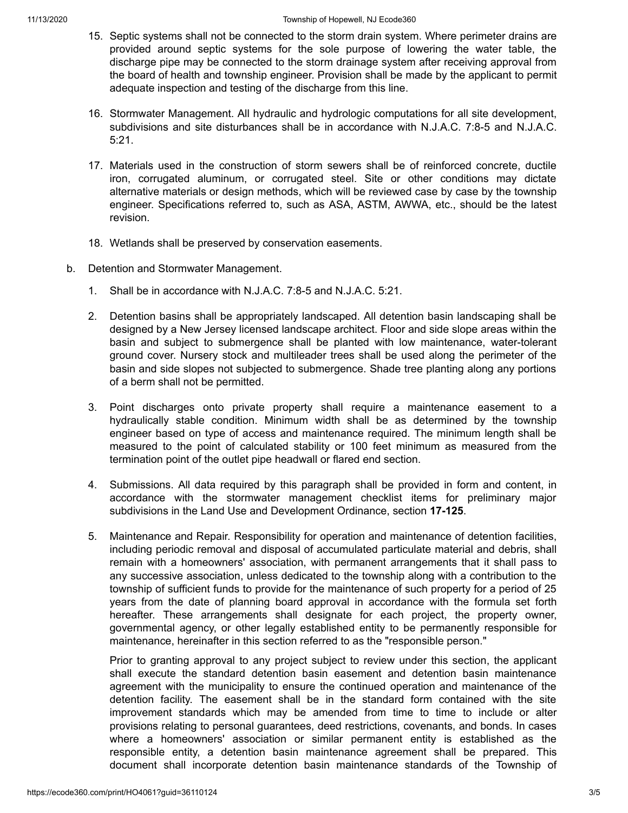- [15.](https://ecode360.com/print/36110141#36110141)  Septic systems shall not be connected to the storm drain system. Where perimeter drains are provided around septic systems for the sole purpose of lowering the water table, the discharge pipe may be connected to the storm drainage system after receiving approval from the board of health and township engineer. Provision shall be made by the applicant to permit adequate inspection and testing of the discharge from this line.
- [16.](https://ecode360.com/print/36110142#36110142)  Stormwater Management. All hydraulic and hydrologic computations for all site development, subdivisions and site disturbances shall be in accordance with N.J.A.C. 7:8-5 and N.J.A.C. 5:21.
- [17.](https://ecode360.com/print/36110143#36110143)  Materials used in the construction of storm sewers shall be of reinforced concrete, ductile iron, corrugated aluminum, or corrugated steel. Site or other conditions may dictate alternative materials or design methods, which will be reviewed case by case by the township engineer. Specifications referred to, such as ASA, ASTM, AWWA, etc., should be the latest revision.
- [18.](https://ecode360.com/print/36110144#36110144)  Wetlands shall be preserved by conservation easements.
- [b.](https://ecode360.com/print/36110145#36110145)  Detention and Stormwater Management.
	- [1.](https://ecode360.com/print/36110146#36110146)  Shall be in accordance with N.J.A.C. 7:8-5 and N.J.A.C. 5:21.
	- [2.](https://ecode360.com/print/36110147#36110147)  Detention basins shall be appropriately landscaped. All detention basin landscaping shall be designed by a New Jersey licensed landscape architect. Floor and side slope areas within the basin and subject to submergence shall be planted with low maintenance, water-tolerant ground cover. Nursery stock and multileader trees shall be used along the perimeter of the basin and side slopes not subjected to submergence. Shade tree planting along any portions of a berm shall not be permitted.
	- [3.](https://ecode360.com/print/36110148#36110148)  Point discharges onto private property shall require a maintenance easement to a hydraulically stable condition. Minimum width shall be as determined by the township engineer based on type of access and maintenance required. The minimum length shall be measured to the point of calculated stability or 100 feet minimum as measured from the termination point of the outlet pipe headwall or flared end section.
	- [4.](https://ecode360.com/print/36110149#36110149)  Submissions. All data required by this paragraph shall be provided in form and content, in accordance with the stormwater management checklist items for preliminary major subdivisions in the Land Use and Development Ordinance, section **[17-125](https://ecode360.com/print/36110574#36110574)**.
	- [5.](https://ecode360.com/print/36110150#36110150)  Maintenance and Repair. Responsibility for operation and maintenance of detention facilities, including periodic removal and disposal of accumulated particulate material and debris, shall remain with a homeowners' association, with permanent arrangements that it shall pass to any successive association, unless dedicated to the township along with a contribution to the township of sufficient funds to provide for the maintenance of such property for a period of 25 years from the date of planning board approval in accordance with the formula set forth hereafter. These arrangements shall designate for each project, the property owner, governmental agency, or other legally established entity to be permanently responsible for maintenance, hereinafter in this section referred to as the "responsible person."

Prior to granting approval to any project subject to review under this section, the applicant shall execute the standard detention basin easement and detention basin maintenance agreement with the municipality to ensure the continued operation and maintenance of the detention facility. The easement shall be in the standard form contained with the site improvement standards which may be amended from time to time to include or alter provisions relating to personal guarantees, deed restrictions, covenants, and bonds. In cases where a homeowners' association or similar permanent entity is established as the responsible entity, a detention basin maintenance agreement shall be prepared. This document shall incorporate detention basin maintenance standards of the Township of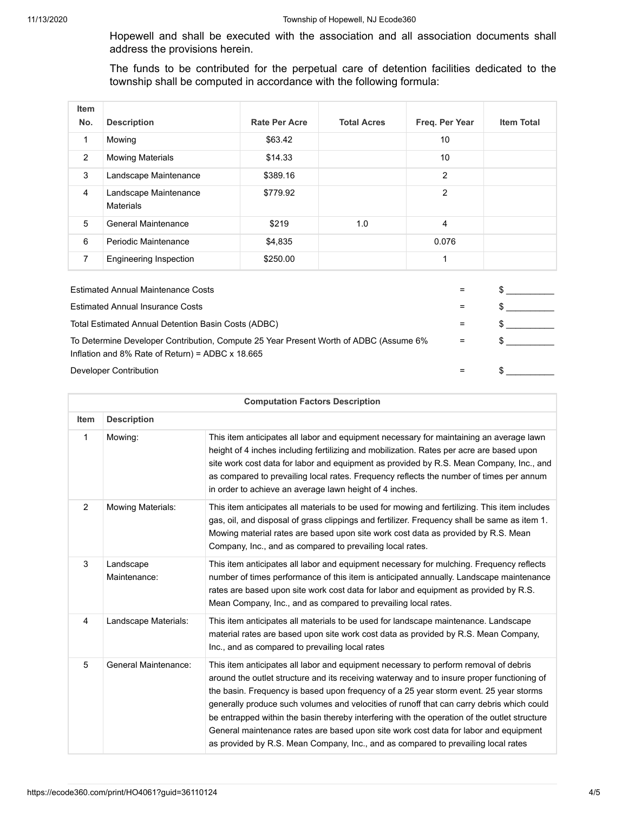Hopewell and shall be executed with the association and all association documents shall address the provisions herein.

The funds to be contributed for the perpetual care of detention facilities dedicated to the township shall be computed in accordance with the following formula:

| Item<br>No. | <b>Description</b>                        | <b>Rate Per Acre</b> | <b>Total Acres</b> | Freq. Per Year | <b>Item Total</b> |
|-------------|-------------------------------------------|----------------------|--------------------|----------------|-------------------|
| 1           | Mowing                                    | \$63.42              |                    | 10             |                   |
| 2           | <b>Mowing Materials</b>                   | \$14.33              |                    | 10             |                   |
| 3           | Landscape Maintenance                     | \$389.16             |                    | 2              |                   |
| 4           | Landscape Maintenance<br><b>Materials</b> | \$779.92             |                    | 2              |                   |
| 5           | <b>General Maintenance</b>                | \$219                | 1.0                | 4              |                   |
| 6           | Periodic Maintenance                      | \$4,835              |                    | 0.076          |                   |
| 7           | <b>Engineering Inspection</b>             | \$250.00             |                    | 1              |                   |
|             |                                           |                      |                    |                |                   |

| <b>Estimated Annual Maintenance Costs</b>                                                                                                        |     |  |
|--------------------------------------------------------------------------------------------------------------------------------------------------|-----|--|
| <b>Estimated Annual Insurance Costs</b>                                                                                                          | $=$ |  |
| Total Estimated Annual Detention Basin Costs (ADBC)                                                                                              | $=$ |  |
| To Determine Developer Contribution, Compute 25 Year Present Worth of ADBC (Assume 6%<br>Inflation and 8% Rate of Return) = ADBC $\times$ 18.665 | $=$ |  |
| Developer Contribution                                                                                                                           | $=$ |  |

| <b>Computation Factors Description</b> |                           |                                                                                                                                                                                                                                                                                                                                                                                                                                                                                                                                                                                                                                                       |
|----------------------------------------|---------------------------|-------------------------------------------------------------------------------------------------------------------------------------------------------------------------------------------------------------------------------------------------------------------------------------------------------------------------------------------------------------------------------------------------------------------------------------------------------------------------------------------------------------------------------------------------------------------------------------------------------------------------------------------------------|
| <b>Item</b>                            | <b>Description</b>        |                                                                                                                                                                                                                                                                                                                                                                                                                                                                                                                                                                                                                                                       |
| $\mathbf{1}$                           | Mowing:                   | This item anticipates all labor and equipment necessary for maintaining an average lawn<br>height of 4 inches including fertilizing and mobilization. Rates per acre are based upon<br>site work cost data for labor and equipment as provided by R.S. Mean Company, Inc., and<br>as compared to prevailing local rates. Frequency reflects the number of times per annum<br>in order to achieve an average lawn height of 4 inches.                                                                                                                                                                                                                  |
| 2                                      | <b>Mowing Materials:</b>  | This item anticipates all materials to be used for mowing and fertilizing. This item includes<br>gas, oil, and disposal of grass clippings and fertilizer. Frequency shall be same as item 1.<br>Mowing material rates are based upon site work cost data as provided by R.S. Mean<br>Company, Inc., and as compared to prevailing local rates.                                                                                                                                                                                                                                                                                                       |
| 3                                      | Landscape<br>Maintenance: | This item anticipates all labor and equipment necessary for mulching. Frequency reflects<br>number of times performance of this item is anticipated annually. Landscape maintenance<br>rates are based upon site work cost data for labor and equipment as provided by R.S.<br>Mean Company, Inc., and as compared to prevailing local rates.                                                                                                                                                                                                                                                                                                         |
| $\overline{4}$                         | Landscape Materials:      | This item anticipates all materials to be used for landscape maintenance. Landscape<br>material rates are based upon site work cost data as provided by R.S. Mean Company,<br>Inc., and as compared to prevailing local rates                                                                                                                                                                                                                                                                                                                                                                                                                         |
| 5                                      | General Maintenance:      | This item anticipates all labor and equipment necessary to perform removal of debris<br>around the outlet structure and its receiving waterway and to insure proper functioning of<br>the basin. Frequency is based upon frequency of a 25 year storm event. 25 year storms<br>generally produce such volumes and velocities of runoff that can carry debris which could<br>be entrapped within the basin thereby interfering with the operation of the outlet structure<br>General maintenance rates are based upon site work cost data for labor and equipment<br>as provided by R.S. Mean Company, Inc., and as compared to prevailing local rates |